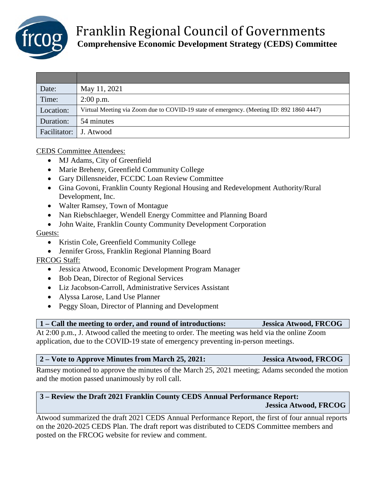

| Date:                    | May 11, 2021                                                                             |
|--------------------------|------------------------------------------------------------------------------------------|
| Time:                    | $2:00$ p.m.                                                                              |
| Location:                | Virtual Meeting via Zoom due to COVID-19 state of emergency. (Meeting ID: 892 1860 4447) |
| Duration:                | 54 minutes                                                                               |
| Facilitator:   J. Atwood |                                                                                          |

#### CEDS Committee Attendees:

- MJ Adams, City of Greenfield
- Marie Breheny, Greenfield Community College
- Gary Dillensneider, FCCDC Loan Review Committee
- Gina Govoni, Franklin County Regional Housing and Redevelopment Authority/Rural Development, Inc.
- Walter Ramsey, Town of Montague
- Nan Riebschlaeger, Wendell Energy Committee and Planning Board
- John Waite, Franklin County Community Development Corporation

#### Guests:

- Kristin Cole, Greenfield Community College
- Jennifer Gross, Franklin Regional Planning Board

### FRCOG Staff:

- Jessica Atwood, Economic Development Program Manager
- Bob Dean, Director of Regional Services
- Liz Jacobson-Carroll, Administrative Services Assistant
- Alyssa Larose, Land Use Planner
- Peggy Sloan, Director of Planning and Development

**1 – Call the meeting to order, and round of introductions: Jessica Atwood, FRCOG**

At 2:00 p.m., J. Atwood called the meeting to order. The meeting was held via the online Zoom application, due to the COVID-19 state of emergency preventing in-person meetings.

### **2 – Vote to Approve Minutes from March 25, 2021: Jessica Atwood, FRCOG**

Ramsey motioned to approve the minutes of the March 25, 2021 meeting; Adams seconded the motion and the motion passed unanimously by roll call.

# **3 – Review the Draft 2021 Franklin County CEDS Annual Performance Report: Jessica Atwood, FRCOG**

Atwood summarized the draft 2021 CEDS Annual Performance Report, the first of four annual reports on the 2020-2025 CEDS Plan. The draft report was distributed to CEDS Committee members and posted on the FRCOG website for review and comment.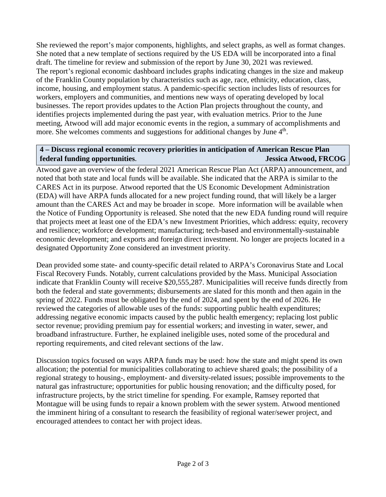She reviewed the report's major components, highlights, and select graphs, as well as format changes. She noted that a new template of sections required by the US EDA will be incorporated into a final draft. The timeline for review and submission of the report by June 30, 2021 was reviewed. The report's regional economic dashboard includes graphs indicating changes in the size and makeup of the Franklin County population by characteristics such as age, race, ethnicity, education, class, income, housing, and employment status. A pandemic-specific section includes lists of resources for workers, employers and communities, and mentions new ways of operating developed by local businesses. The report provides updates to the Action Plan projects throughout the county, and identifies projects implemented during the past year, with evaluation metrics. Prior to the June meeting, Atwood will add major economic events in the region, a summary of accomplishments and more. She welcomes comments and suggestions for additional changes by June 4<sup>th</sup>.

### **4 – Discuss regional economic recovery priorities in anticipation of American Rescue Plan federal funding opportunities**. **Jessica Atwood, FRCOG**

Atwood gave an overview of the federal 2021 American Rescue Plan Act (ARPA) announcement, and noted that both state and local funds will be available. She indicated that the ARPA is similar to the CARES Act in its purpose. Atwood reported that the US Economic Development Administration (EDA) will have ARPA funds allocated for a new project funding round, that will likely be a larger amount than the CARES Act and may be broader in scope. More information will be available when the Notice of Funding Opportunity is released. She noted that the new EDA funding round will require that projects meet at least one of the EDA's new Investment Priorities, which address: equity, recovery and resilience; workforce development; manufacturing; tech-based and environmentally-sustainable economic development; and exports and foreign direct investment. No longer are projects located in a designated Opportunity Zone considered an investment priority.

Dean provided some state- and county-specific detail related to ARPA's Coronavirus State and Local Fiscal Recovery Funds. Notably, current calculations provided by the Mass. Municipal Association indicate that Franklin County will receive \$20,555,287. Municipalities will receive funds directly from both the federal and state governments; disbursements are slated for this month and then again in the spring of 2022. Funds must be obligated by the end of 2024, and spent by the end of 2026. He reviewed the categories of allowable uses of the funds: supporting public health expenditures; addressing negative economic impacts caused by the public health emergency; replacing lost public sector revenue; providing premium pay for essential workers; and investing in water, sewer, and broadband infrastructure. Further, he explained ineligible uses, noted some of the procedural and reporting requirements, and cited relevant sections of the law.

Discussion topics focused on ways ARPA funds may be used: how the state and might spend its own allocation; the potential for municipalities collaborating to achieve shared goals; the possibility of a regional strategy to housing-, employment- and diversity-related issues; possible improvements to the natural gas infrastructure; opportunities for public housing renovation; and the difficulty posed, for infrastructure projects, by the strict timeline for spending. For example, Ramsey reported that Montague will be using funds to repair a known problem with the sewer system. Atwood mentioned the imminent hiring of a consultant to research the feasibility of regional water/sewer project, and encouraged attendees to contact her with project ideas.